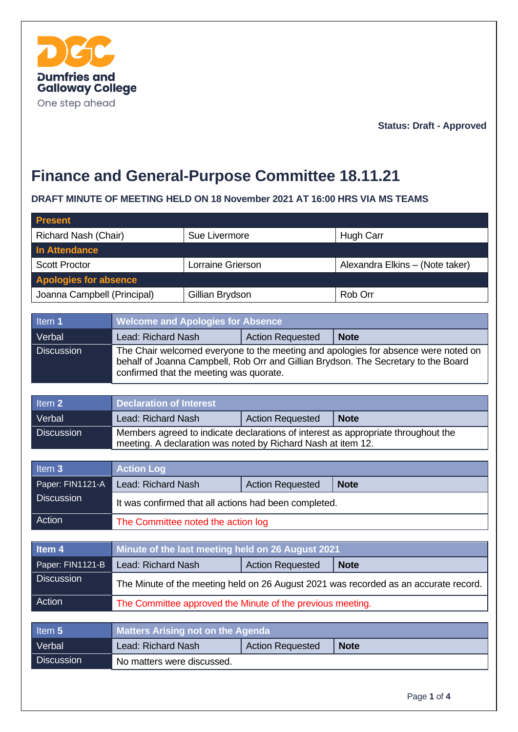

**Status: Draft - Approved**

# **Finance and General-Purpose Committee 18.11.21**

#### **DRAFT MINUTE OF MEETING HELD ON 18 November 2021 AT 16:00 HRS VIA MS TEAMS**

| <b>Present</b>               |                                                                                                                                                                                                                     |                   |                         |                                 |  |
|------------------------------|---------------------------------------------------------------------------------------------------------------------------------------------------------------------------------------------------------------------|-------------------|-------------------------|---------------------------------|--|
| Richard Nash (Chair)         |                                                                                                                                                                                                                     | Sue Livermore     |                         | <b>Hugh Carr</b>                |  |
| <b>In Attendance</b>         |                                                                                                                                                                                                                     |                   |                         |                                 |  |
| <b>Scott Proctor</b>         |                                                                                                                                                                                                                     | Lorraine Grierson |                         | Alexandra Elkins - (Note taker) |  |
| <b>Apologies for absence</b> |                                                                                                                                                                                                                     |                   |                         |                                 |  |
| Joanna Campbell (Principal)  |                                                                                                                                                                                                                     | Gillian Brydson   |                         | Rob Orr                         |  |
|                              |                                                                                                                                                                                                                     |                   |                         |                                 |  |
| Item 1                       | <b>Welcome and Apologies for Absence</b>                                                                                                                                                                            |                   |                         |                                 |  |
| Verbal                       | Lead: Richard Nash                                                                                                                                                                                                  |                   | <b>Action Requested</b> | <b>Note</b>                     |  |
| <b>Discussion</b>            | The Chair welcomed everyone to the meeting and apologies for absence were noted on<br>behalf of Joanna Campbell, Rob Orr and Gillian Brydson. The Secretary to the Board<br>confirmed that the meeting was quorate. |                   |                         |                                 |  |
| Item <sub>2</sub>            |                                                                                                                                                                                                                     |                   |                         |                                 |  |
|                              | <b>Declaration of Interest</b>                                                                                                                                                                                      |                   |                         |                                 |  |
| Verbal<br><b>Discussion</b>  | Lead: Richard Nash<br><b>Action Requested</b>                                                                                                                                                                       |                   |                         | <b>Note</b>                     |  |
|                              | Members agreed to indicate declarations of interest as appropriate throughout the<br>meeting. A declaration was noted by Richard Nash at item 12.                                                                   |                   |                         |                                 |  |
|                              |                                                                                                                                                                                                                     |                   |                         |                                 |  |
| Item <sub>3</sub>            | <b>Action Log</b>                                                                                                                                                                                                   |                   |                         |                                 |  |
| Paper: FIN1121-A             | Lead: Richard Nash                                                                                                                                                                                                  |                   | <b>Action Requested</b> | <b>Note</b>                     |  |
| <b>Discussion</b>            | It was confirmed that all actions had been completed.                                                                                                                                                               |                   |                         |                                 |  |
| <b>Action</b>                | The Committee noted the action log                                                                                                                                                                                  |                   |                         |                                 |  |
|                              |                                                                                                                                                                                                                     |                   |                         |                                 |  |
| Item <sub>4</sub>            | Minute of the last meeting held on 26 August 2021                                                                                                                                                                   |                   |                         |                                 |  |
| Paper: FIN1121-B             | Lead: Richard Nash                                                                                                                                                                                                  |                   | <b>Action Requested</b> | <b>Note</b>                     |  |
| <b>Discussion</b>            | The Minute of the meeting held on 26 August 2021 was recorded as an accurate record.                                                                                                                                |                   |                         |                                 |  |
| Action                       | The Committee approved the Minute of the previous meeting.                                                                                                                                                          |                   |                         |                                 |  |
|                              |                                                                                                                                                                                                                     |                   |                         |                                 |  |
| Item 5                       | <b>Matters Arising not on the Agenda</b>                                                                                                                                                                            |                   |                         |                                 |  |
| Verbal                       | Lead: Richard Nash                                                                                                                                                                                                  |                   | <b>Action Requested</b> | <b>Note</b>                     |  |
| <b>Discussion</b>            | No matters were discussed.                                                                                                                                                                                          |                   |                         |                                 |  |
|                              |                                                                                                                                                                                                                     |                   |                         |                                 |  |
|                              |                                                                                                                                                                                                                     |                   |                         | Page 1 of 4                     |  |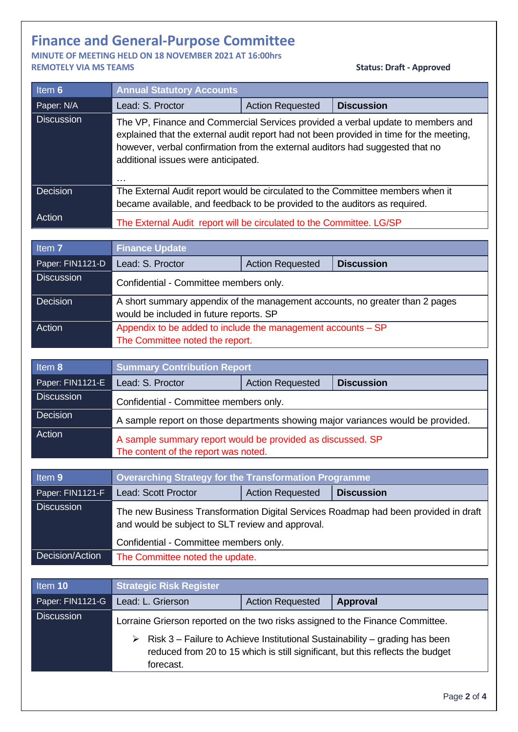## **Finance and General-Purpose Committee**

**MINUTE OF MEETING HELD ON 18 NOVEMBER 2021 AT 16:00hrs REMOTELY VIA MS TEAMS Status: Draft - Approved** 

| Item 6                                | <b>Annual Statutory Accounts</b>                                                                                                                                                                                                                                                                               |                         |                   |  |  |
|---------------------------------------|----------------------------------------------------------------------------------------------------------------------------------------------------------------------------------------------------------------------------------------------------------------------------------------------------------------|-------------------------|-------------------|--|--|
| Paper: N/A                            | Lead: S. Proctor                                                                                                                                                                                                                                                                                               | <b>Action Requested</b> | <b>Discussion</b> |  |  |
| <b>Discussion</b>                     | The VP, Finance and Commercial Services provided a verbal update to members and<br>explained that the external audit report had not been provided in time for the meeting,<br>however, verbal confirmation from the external auditors had suggested that no<br>additional issues were anticipated.<br>$\cdots$ |                         |                   |  |  |
| Decision                              | The External Audit report would be circulated to the Committee members when it<br>became available, and feedback to be provided to the auditors as required.                                                                                                                                                   |                         |                   |  |  |
| Action                                | The External Audit report will be circulated to the Committee. LG/SP                                                                                                                                                                                                                                           |                         |                   |  |  |
| Item <sub>7</sub>                     | <b>Finance Update</b>                                                                                                                                                                                                                                                                                          |                         |                   |  |  |
| Paper: FIN1121-D                      | Lead: S. Proctor                                                                                                                                                                                                                                                                                               | <b>Action Requested</b> | <b>Discussion</b> |  |  |
| <b>Discussion</b>                     |                                                                                                                                                                                                                                                                                                                |                         |                   |  |  |
|                                       | Confidential - Committee members only.                                                                                                                                                                                                                                                                         |                         |                   |  |  |
| Decision                              | A short summary appendix of the management accounts, no greater than 2 pages<br>would be included in future reports. SP                                                                                                                                                                                        |                         |                   |  |  |
| Action                                | Appendix to be added to include the management accounts - SP                                                                                                                                                                                                                                                   |                         |                   |  |  |
|                                       | The Committee noted the report.                                                                                                                                                                                                                                                                                |                         |                   |  |  |
| Item 8                                | <b>Summary Contribution Report</b>                                                                                                                                                                                                                                                                             |                         |                   |  |  |
| Paper: FIN1121-E                      | Lead: S. Proctor                                                                                                                                                                                                                                                                                               | <b>Action Requested</b> | <b>Discussion</b> |  |  |
| <b>Discussion</b>                     | Confidential - Committee members only.                                                                                                                                                                                                                                                                         |                         |                   |  |  |
| Decision                              | A sample report on those departments showing major variances would be provided.                                                                                                                                                                                                                                |                         |                   |  |  |
| Action                                | A sample summary report would be provided as discussed. SP<br>The content of the report was noted.                                                                                                                                                                                                             |                         |                   |  |  |
|                                       |                                                                                                                                                                                                                                                                                                                |                         |                   |  |  |
| Item <sub>9</sub>                     | <b>Overarching Strategy for the Transformation Programme</b>                                                                                                                                                                                                                                                   |                         |                   |  |  |
| Paper: FIN1121-F<br><b>Discussion</b> | Lead: Scott Proctor                                                                                                                                                                                                                                                                                            | <b>Action Requested</b> | <b>Discussion</b> |  |  |
|                                       | The new Business Transformation Digital Services Roadmap had been provided in draft<br>and would be subject to SLT review and approval.                                                                                                                                                                        |                         |                   |  |  |
|                                       | Confidential - Committee members only.                                                                                                                                                                                                                                                                         |                         |                   |  |  |
| Decision/Action                       | The Committee noted the update.                                                                                                                                                                                                                                                                                |                         |                   |  |  |
| Item 10                               | <b>Strategic Risk Register</b>                                                                                                                                                                                                                                                                                 |                         |                   |  |  |
| Paper: FIN1121-G                      | Lead: L. Grierson                                                                                                                                                                                                                                                                                              | <b>Action Requested</b> | <b>Approval</b>   |  |  |
| <b>Discussion</b>                     |                                                                                                                                                                                                                                                                                                                |                         |                   |  |  |
|                                       | Lorraine Grierson reported on the two risks assigned to the Finance Committee.<br>Risk 3 – Failure to Achieve Institutional Sustainability – grading has been<br>➤<br>reduced from 20 to 15 which is still significant, but this reflects the budget<br>forecast.                                              |                         |                   |  |  |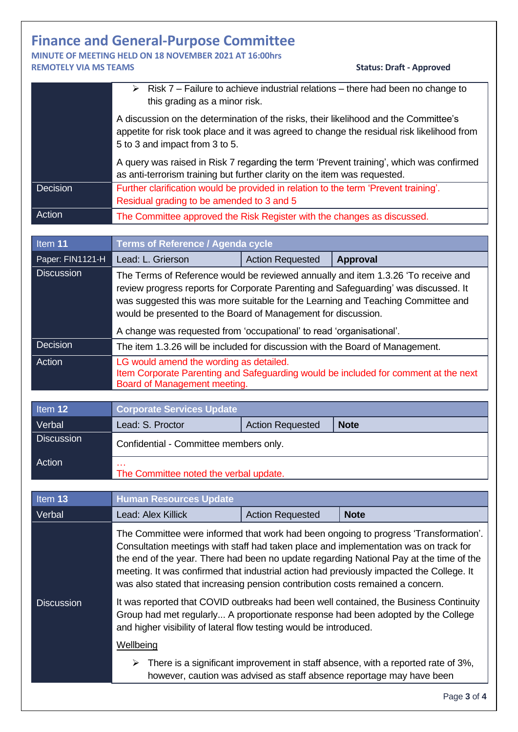## **Finance and General-Purpose Committee**

#### **MINUTE OF MEETING HELD ON 18 NOVEMBER 2021 AT 16:00hrs REMOTELY VIA MS TEAMS Status: Draft - Approved**

|                   | Risk 7 – Failure to achieve industrial relations – there had been no change to<br>↘<br>this grading as a minor risk.                                                                                                                                                                                                                                                                                  |                         |                                                                                                                                                                                                                                                                                                                                                                     |  |  |
|-------------------|-------------------------------------------------------------------------------------------------------------------------------------------------------------------------------------------------------------------------------------------------------------------------------------------------------------------------------------------------------------------------------------------------------|-------------------------|---------------------------------------------------------------------------------------------------------------------------------------------------------------------------------------------------------------------------------------------------------------------------------------------------------------------------------------------------------------------|--|--|
|                   | A discussion on the determination of the risks, their likelihood and the Committee's<br>appetite for risk took place and it was agreed to change the residual risk likelihood from<br>5 to 3 and impact from 3 to 5.                                                                                                                                                                                  |                         |                                                                                                                                                                                                                                                                                                                                                                     |  |  |
|                   | A query was raised in Risk 7 regarding the term 'Prevent training', which was confirmed<br>as anti-terrorism training but further clarity on the item was requested.                                                                                                                                                                                                                                  |                         |                                                                                                                                                                                                                                                                                                                                                                     |  |  |
| Decision          | Further clarification would be provided in relation to the term 'Prevent training'.<br>Residual grading to be amended to 3 and 5                                                                                                                                                                                                                                                                      |                         |                                                                                                                                                                                                                                                                                                                                                                     |  |  |
| Action            | The Committee approved the Risk Register with the changes as discussed.                                                                                                                                                                                                                                                                                                                               |                         |                                                                                                                                                                                                                                                                                                                                                                     |  |  |
|                   |                                                                                                                                                                                                                                                                                                                                                                                                       |                         |                                                                                                                                                                                                                                                                                                                                                                     |  |  |
| Item 11           | <b>Terms of Reference / Agenda cycle</b>                                                                                                                                                                                                                                                                                                                                                              |                         |                                                                                                                                                                                                                                                                                                                                                                     |  |  |
| Paper: FIN1121-H  | Lead: L. Grierson                                                                                                                                                                                                                                                                                                                                                                                     | <b>Action Requested</b> | <b>Approval</b>                                                                                                                                                                                                                                                                                                                                                     |  |  |
| <b>Discussion</b> | The Terms of Reference would be reviewed annually and item 1.3.26 'To receive and<br>review progress reports for Corporate Parenting and Safeguarding' was discussed. It<br>was suggested this was more suitable for the Learning and Teaching Committee and<br>would be presented to the Board of Management for discussion.<br>A change was requested from 'occupational' to read 'organisational'. |                         |                                                                                                                                                                                                                                                                                                                                                                     |  |  |
| Decision          | The item 1.3.26 will be included for discussion with the Board of Management.                                                                                                                                                                                                                                                                                                                         |                         |                                                                                                                                                                                                                                                                                                                                                                     |  |  |
| Action            | LG would amend the wording as detailed.<br>Item Corporate Parenting and Safeguarding would be included for comment at the next<br>Board of Management meeting.                                                                                                                                                                                                                                        |                         |                                                                                                                                                                                                                                                                                                                                                                     |  |  |
|                   |                                                                                                                                                                                                                                                                                                                                                                                                       |                         |                                                                                                                                                                                                                                                                                                                                                                     |  |  |
| Item 12           | <b>Corporate Services Update</b>                                                                                                                                                                                                                                                                                                                                                                      |                         |                                                                                                                                                                                                                                                                                                                                                                     |  |  |
| Verbal            | Lead: S. Proctor                                                                                                                                                                                                                                                                                                                                                                                      | <b>Action Requested</b> | <b>Note</b>                                                                                                                                                                                                                                                                                                                                                         |  |  |
| <b>Discussion</b> | Confidential - Committee members only.                                                                                                                                                                                                                                                                                                                                                                |                         |                                                                                                                                                                                                                                                                                                                                                                     |  |  |
| Action            | The Committee noted the verbal update.                                                                                                                                                                                                                                                                                                                                                                |                         |                                                                                                                                                                                                                                                                                                                                                                     |  |  |
|                   |                                                                                                                                                                                                                                                                                                                                                                                                       |                         |                                                                                                                                                                                                                                                                                                                                                                     |  |  |
|                   |                                                                                                                                                                                                                                                                                                                                                                                                       |                         |                                                                                                                                                                                                                                                                                                                                                                     |  |  |
| Item 13           | <b>Human Resources Update</b>                                                                                                                                                                                                                                                                                                                                                                         |                         |                                                                                                                                                                                                                                                                                                                                                                     |  |  |
| Verbal            | Lead: Alex Killick                                                                                                                                                                                                                                                                                                                                                                                    | <b>Action Requested</b> | <b>Note</b>                                                                                                                                                                                                                                                                                                                                                         |  |  |
|                   | was also stated that increasing pension contribution costs remained a concern.                                                                                                                                                                                                                                                                                                                        |                         | The Committee were informed that work had been ongoing to progress 'Transformation'.<br>Consultation meetings with staff had taken place and implementation was on track for<br>the end of the year. There had been no update regarding National Pay at the time of the<br>meeting. It was confirmed that industrial action had previously impacted the College. It |  |  |
| <b>Discussion</b> | and higher visibility of lateral flow testing would be introduced.                                                                                                                                                                                                                                                                                                                                    |                         | It was reported that COVID outbreaks had been well contained, the Business Continuity<br>Group had met regularly A proportionate response had been adopted by the College                                                                                                                                                                                           |  |  |
|                   | Wellbeing                                                                                                                                                                                                                                                                                                                                                                                             |                         |                                                                                                                                                                                                                                                                                                                                                                     |  |  |
|                   | ➤                                                                                                                                                                                                                                                                                                                                                                                                     |                         | There is a significant improvement in staff absence, with a reported rate of 3%,<br>however, caution was advised as staff absence reportage may have been                                                                                                                                                                                                           |  |  |